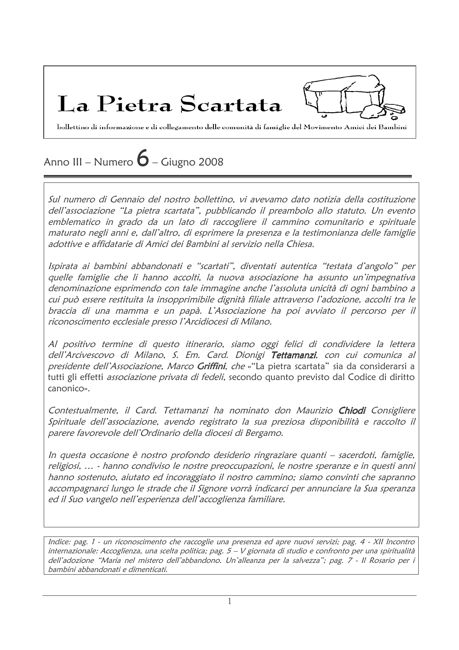La Pietra Scartata

bollettino di informazione e di collegamento delle comunità di famiglie del Movimento Amici dei Bambini

# Anno III – Numero  $\bf{6}$  – Giugno 2008

Sul numero di Gennaio del nostro bollettino, vi avevamo dato notizia della costituzione dell'associazione "La pietra scartata", pubblicando il preambolo allo statuto. Un evento emblematico in grado da un lato di raccogliere il cammino comunitario e spirituale maturato negli anni e, dall'altro, di esprimere la presenza e la testimonianza delle famiglie adottive e affidatarie di Amici dei Bambini al servizio nella Chiesa.

Ispirata ai bambini abbandonati e "scartati", diventati autentica "testata d'angolo" per quelle famiglie che li hanno accolti, la nuova associazione ha assunto un'impegnativa denominazione esprimendo con tale immagine anche l'assoluta unicità di ogni bambino a cui può essere restituita la insopprimibile dignità filiale attraverso l'adozione, accolti tra le braccia di una mamma e un papà. L'Associazione ha poi avviato il percorso per il riconoscimento ecclesiale presso l'Arcidiocesi di Milano.

Al positivo termine di questo itinerario, siamo oggi felici di condividere la lettera dell'Arcivescovo di Milano, S. Em. Card. Dionigi Tettamanzi, con cui comunica al presidente dell'Associazione, Marco Griffini, che «"La pietra scartata" sia da considerarsi a tutti gli effetti *associazione privata di fedeli*, secondo quanto previsto dal Codice di diritto  $c$ anoni $c$ o»

Contestualmente, il Card. Tettamanzi ha nominato don Maurizio Chiodi Consigliere Spirituale dell'associazione, avendo registrato la sua preziosa disponibilità e raccolto il parere favorevole dell'Ordinario della diocesi di Bergamo.

In questa occasione è nostro profondo desiderio ringraziare quanti - sacerdoti, famiglie, religiosi, ... - hanno condiviso le nostre preoccupazioni, le nostre speranze e in questi anni hanno sostenuto, aiutato ed incoraggiato il nostro cammino; siamo convinti che sapranno accompagnarci lungo le strade che il Signore vorrà indicarci per annunciare la Sua speranza ed il Suo vangelo nell'esperienza dell'accoglienza familiare.

Indice: pag. 1 - un riconoscimento che raccoglie una presenza ed apre nuovi servizi; pag. 4 - XII Incontro internazionale: Accoglienza, una scelta politica; pag. 5 - V giornata di studio e confronto per una spiritualità dell'adozione "Maria nel mistero dell'abbandono. Un'alleanza per la salvezza"; pag. 7 - Il Rosario per i bambini abbandonati e dimenticati.

 $\mathbf{1}$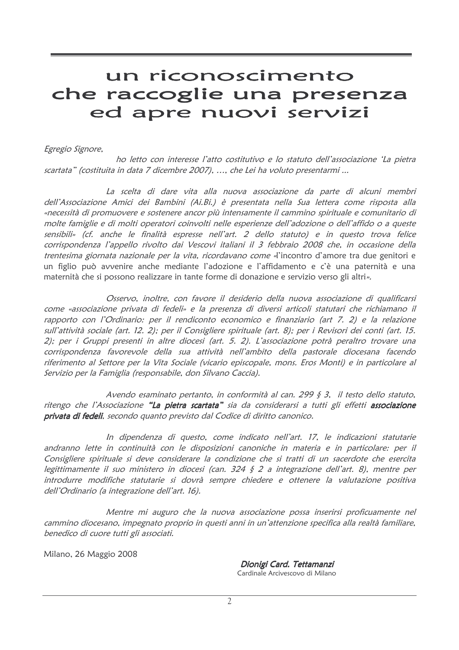# un riconoscimento che raccoglie una presenza ed apre nuovi servizi

### Egregio Signore,

ho letto con interesse l'atto costitutivo e lo statuto dell'associazione 'La pietra scartata" (costituita in data 7 dicembre 2007), ..., che Lei ha voluto presentarmi ...

La scelta di dare vita alla nuova associazione da parte di alcuni membri dell'Associazione Amici dei Bambini (Ai.Bi.) è presentata nella Sua lettera come risposta alla «necessità di promuovere e sostenere ancor più intensamente il cammino spirituale e comunitario di molte famiglie e di molti operatori coinvolti nelle esperienze dell'adozione o dell'affido o a queste sensibili» (cf. anche le finalità espresse nell'art. 2 dello statuto) e in questo trova felice corrispondenza l'appello rivolto dai Vescovi italiani il 3 febbraio 2008 che, in occasione della trentesima giornata nazionale per la vita, ricordavano come «l'incontro d'amore tra due genitori e un figlio può avvenire anche mediante l'adozione e l'affidamento e c'è una paternità e una maternità che si possono realizzare in tante forme di donazione e servizio verso gli altri».

Osservo, inoltre, con favore il desiderio della nuova associazione di qualificarsi come «associazione privata di fedeli» e la presenza di diversi articoli statutari che richiamano il rapporto con l'Ordinario: per il rendiconto economico e finanziario (art 7. 2) e la relazione sull'attività sociale (art. 12. 2); per il Consigliere spirituale (art. 8); per i Revisori dei conti (art. 15. 2); per i Gruppi presenti in altre diocesi (art. 5. 2). L'associazione potrà peraltro trovare una corrispondenza favorevole della sua attività nell'ambito della pastorale diocesana facendo riferimento al Settore per la Vita Sociale (vicario episcopale, mons. Eros Monti) e in particolare al Servizio per la Famiglia (responsabile, don Silvano Caccia).

Avendo esaminato pertanto, in conformità al can. 299 § 3, il testo dello statuto, ritengo che l'Associazione "La pietra scartata" sia da considerarsi a tutti gli effetti associazione privata di fedeli, secondo quanto previsto dal Codice di diritto canonico.

In dipendenza di questo, come indicato nell'art. 17, le indicazioni statutarie andranno lette in continuità con le disposizioni canoniche in materia e in particolare: per il Consigliere spirituale si deve considerare la condizione che si tratti di un sacerdote che esercita legittimamente il suo ministero in diocesi (can. 324  $\zeta$  2 a integrazione dell'art. 8), mentre per introdurre modifiche statutarie si dovrà sempre chiedere e ottenere la valutazione positiva dell'Ordinario (a integrazione dell'art. 16).

Mentre mi auguro che la nuova associazione possa inserirsi proficuamente nel cammino diocesano, impegnato proprio in questi anni in un'attenzione specifica alla realtà familiare, benedico di cuore tutti gli associati.

Milano, 26 Maggio 2008

Dionigi Card. Tettamanzi Cardinale Arcivescovo di Milano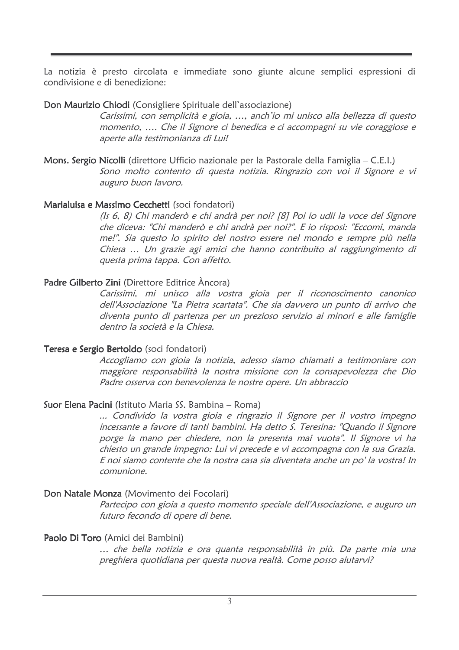La notizia è presto circolata e immediate sono giunte alcune semplici espressioni di condivisione e di benedizione:

### Don Maurizio Chiodi (Consigliere Spirituale dell'associazione)

Carissimi, con semplicità e gioia, ..., anch'io mi unisco alla bellezza di questo momento, .... Che il Signore ci benedica e ci accompagni su vie coraggiose e aperte alla testimonianza di Lui!

Mons. Sergio Nicolli (direttore Ufficio nazionale per la Pastorale della Famiglia - C.E.I.) Sono molto contento di questa notizia. Ringrazio con voi il Signore e vi auguro buon lavoro.

### Marialuisa e Massimo Cecchetti (soci fondatori)

(Is 6, 8) Chi manderò e chi andrà per noi? [8] Poi io udii la voce del Signore che diceva: "Chi manderò e chi andrà per noi?". E io risposi: "Eccomi, manda me!". Sia questo lo spirito del nostro essere nel mondo e sempre più nella Chiesa ... Un grazie agi amici che hanno contribuito al raggiungimento di questa prima tappa. Con affetto.

# Padre Gilberto Zini (Direttore Editrice Ancora)

Carissimi, mi unisco alla vostra gioia per il riconoscimento canonico dell'Associazione "La Pietra scartata". Che sia davvero un punto di arrivo che diventa punto di partenza per un prezioso servizio ai minori e alle famiglie dentro la società e la Chiesa

# Teresa e Sergio Bertoldo (soci fondatori)

Accogliamo con gioia la notizia, adesso siamo chiamati a testimoniare con maggiore responsabilità la nostra missione con la consapevolezza che Dio Padre osserva con benevolenza le nostre opere. Un abbraccio

# **Suor Elena Pacini** (Istituto Maria SS. Bambina – Roma)

... Condivido la vostra gioia e ringrazio il Signore per il vostro impegno incessante a favore di tanti bambini. Ha detto S. Teresina: "Quando il Signore porge la mano per chiedere, non la presenta mai vuota". Il Signore vi ha chiesto un grande impegno: Lui vi precede e vi accompagna con la sua Grazia. E noi siamo contente che la nostra casa sia diventata anche un po' la vostra! In comunione.

# Don Natale Monza (Movimento dei Focolari)

Partecipo con gioia a questo momento speciale dell'Associazione, e auguro un futuro fecondo di opere di bene.

# Paolo Di Toro (Amici dei Bambini)

... che bella notizia e ora quanta responsabilità in più. Da parte mia una preghiera quotidiana per questa nuova realtà. Come posso aiutarvi?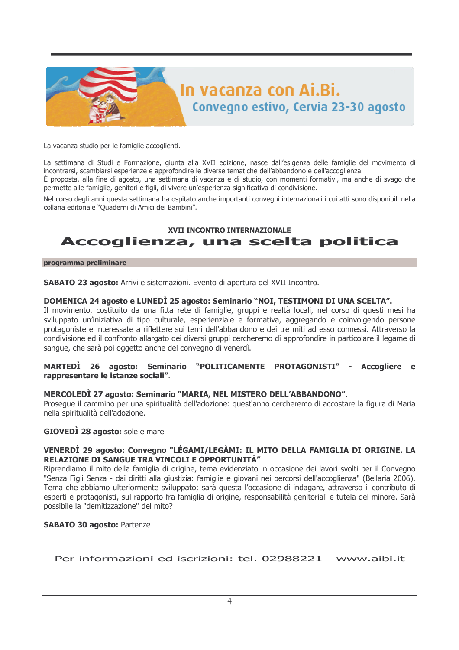

La vacanza studio per le famiglie accoglienti.

La settimana di Studi e Formazione, giunta alla XVII edizione, nasce dall'esigenza delle famiglie del movimento di incontrarsi, scambiarsi esperienze e approfondire le diverse tematiche dell'abbandono e dell'accoglienza. È proposta, alla fine di agosto, una settimana di vacanza e di studio, con momenti formativi, ma anche di svago che permette alle famiglie, genitori e figli, di vivere un'esperienza significativa di condivisione.

Nel corso degli anni questa settimana ha ospitato anche importanti convegni internazionali i cui atti sono disponibili nella collana editoriale "Quaderni di Amici dei Bambini".

### **XVII INCONTRO INTERNAZIONALE** Accoglienza, una scelta politica

#### programma preliminare

SABATO 23 agosto: Arrivi e sistemazioni. Evento di apertura del XVII Incontro.

### DOMENICA 24 agosto e LUNEDÌ 25 agosto: Seminario "NOI, TESTIMONI DI UNA SCELTA".

Il movimento, costituito da una fitta rete di famiglie, gruppi e realtà locali, nel corso di questi mesi ha sviluppato un'iniziativa di tipo culturale, esperienziale e formativa, aggregando e coinvolgendo persone protagoniste e interessate a riflettere sui temi dell'abbandono e dei tre miti ad esso connessi. Attraverso la condivisione ed il confronto allargato dei diversi gruppi cercheremo di approfondire in particolare il legame di sangue, che sarà poi oggetto anche del convegno di venerdì.

#### MARTEDI 26 agosto: Seminario "POLITICAMENTE PROTAGONISTI" -Accogliere e rappresentare le istanze sociali".

#### MERCOLEDI 27 agosto: Seminario "MARIA, NEL MISTERO DELL'ABBANDONO".

Prosegue il cammino per una spiritualità dell'adozione: quest'anno cercheremo di accostare la figura di Maria nella spiritualità dell'adozione.

### **GIOVEDI 28 agosto:** sole e mare

### VENERDÌ 29 agosto: Convegno "LÉGAMI/LEGÀMI: IL MITO DELLA FAMIGLIA DI ORIGINE. LA RELAZIONE DI SANGUE TRA VINCOLI E OPPORTUNITÀ"

Riprendiamo il mito della famiglia di origine, tema evidenziato in occasione dei lavori svolti per il Convegno "Senza Figli Senza - dai diritti alla giustizia: famiglie e giovani nei percorsi dell'accoglienza" (Bellaria 2006). Tema che abbiamo ulteriormente sviluppato: sarà questa l'occasione di indagare, attraverso il contributo di esperti e protagonisti, sul rapporto fra famiglia di origine, responsabilità genitoriali e tutela del minore. Sarà possibile la "demitizzazione" del mito?

### **SABATO 30 agosto: Partenze**

Per informazioni ed iscrizioni: tel. 02988221 - www.aibi.it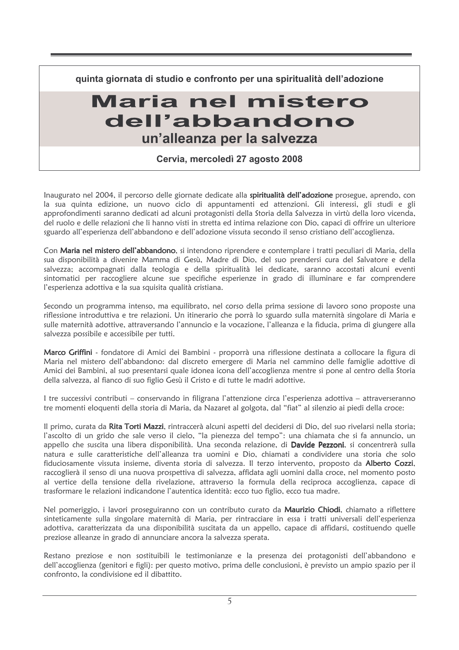quinta giornata di studio e confronto per una spiritualità dell'adozione

# Maria nel mistero dell'abbandono un'alleanza per la salvezza

Cervia, mercoledì 27 agosto 2008

Inaugurato nel 2004, il percorso delle giornate dedicate alla spiritualità dell'adozione prosegue, aprendo, con la sua quinta edizione, un nuovo ciclo di appuntamenti ed attenzioni. Gli interessi, gli studi e gli approfondimenti saranno dedicati ad alcuni protagonisti della Storia della Salvezza in virtù della loro vicenda, del ruolo e delle relazioni che li hanno visti in stretta ed intima relazione con Dio, capaci di offrire un ulteriore sguardo all'esperienza dell'abbandono e dell'adozione vissuta secondo il senso cristiano dell'accoglienza.

Con Maria nel mistero dell'abbandono, si intendono riprendere e contemplare i tratti peculiari di Maria, della sua disponibilità a divenire Mamma di Gesù. Madre di Dio, del suo prendersi cura del Salvatore e della salvezza; accompagnati dalla teologia e della spiritualità lei dedicate, saranno accostati alcuni eventi sintomatici per raccogliere alcune sue specifiche esperienze in grado di illuminare e far comprendere l'esperienza adottiva e la sua squisita qualità cristiana.

Secondo un programma intenso, ma equilibrato, nel corso della prima sessione di lavoro sono proposte una riflessione introduttiva e tre relazioni. Un itinerario che porrà lo sguardo sulla maternità singolare di Maria e sulle maternità adottive, attraversando l'annuncio e la vocazione, l'alleanza e la fiducia, prima di giungere alla salvezza possibile e accessibile per tutti.

Marco Griffini - fondatore di Amici dei Bambini - proporrà una riflessione destinata a collocare la figura di Maria nel mistero dell'abbandono: dal discreto emergere di Maria nel cammino delle famiglie adottive di Amici dei Bambini, al suo presentarsi quale idonea icona dell'accoglienza mentre si pone al centro della Storia della salvezza, al fianco di suo figlio Gesù il Cristo e di tutte le madri adottive.

I tre successivi contributi – conservando in filigrana l'attenzione circa l'esperienza adottiva – attraverseranno tre momenti eloquenti della storia di Maria, da Nazaret al golgota, dal "fiat" al silenzio ai piedi della croce:

Il primo, curata da Rita Torti Mazzi, rintraccerà alcuni aspetti del decidersi di Dio, del suo rivelarsi nella storia; l'ascolto di un grido che sale verso il cielo, "la pienezza del tempo": una chiamata che si fa annuncio, un appello che suscita una libera disponibilità. Una seconda relazione, di Davide Pezzoni, si concentrerà sulla natura e sulle caratteristiche dell'alleanza tra uomini e Dio, chiamati a condividere una storia che solo fiduciosamente vissuta insieme, diventa storia di salvezza. Il terzo intervento, proposto da Alberto Cozzi, raccoglierà il senso di una nuova prospettiva di salvezza, affidata agli uomini dalla croce, nel momento posto al vertice della tensione della rivelazione, attraverso la formula della reciproca accoglienza, capace di trasformare le relazioni indicandone l'autentica identità: ecco tuo figlio, ecco tua madre.

Nel pomeriggio, i lavori proseguiranno con un contributo curato da Maurizio Chiodi, chiamato a riflettere sinteticamente sulla singolare maternità di Maria, per rintracciare in essa i tratti universali dell'esperienza adottiva, caratterizzata da una disponibilità suscitata da un appello, capace di affidarsi, costituendo quelle preziose alleanze in grado di annunciare ancora la salvezza sperata.

Restano preziose e non sostituibili le testimonianze e la presenza dei protagonisti dell'abbandono e dell'accoglienza (genitori e figli): per questo motivo, prima delle conclusioni, è previsto un ampio spazio per il confronto, la condivisione ed il dibattito.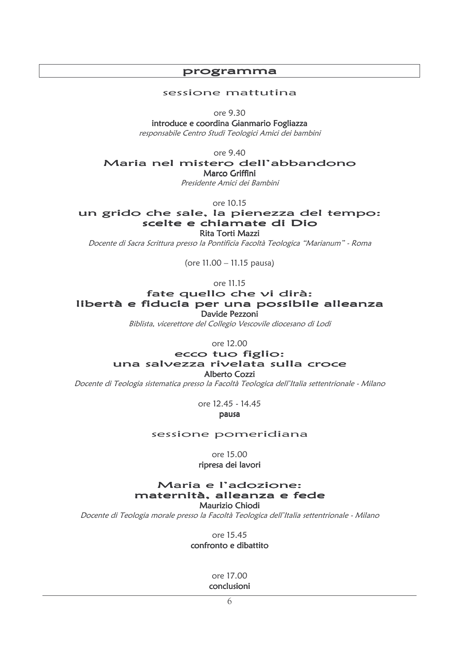### programma

#### sessione mattutina

ore 9.30

introduce e coordina Gianmario Fogliazza responsabile Centro Studi Teologici Amici dei bambini

ore 9.40

Maria nel mistero dell'abbandono

Marco Griffini

Presidente Amici dei Bambini

ore 10.15

un grido che sale, la pienezza del tempo: scelte e chiamate di Dio Rita Torti Mazzi

Docente di Sacra Scrittura presso la Pontificia Facoltà Teologica "Marianum" - Roma

(ore 11.00 - 11.15 pausa)

ore 11.15

### fate quello che vi dirà: libertà e fiducia per una possibile alleanza Davide Pezzoni

Biblista, vicerettore del Collegio Vescovile diocesano di Lodi

ore 12.00

### ecco tuo figlio: una salvezza rivelata sulla croce Alberto Cozzi

Docente di Teologia sistematica presso la Facoltà Teologica dell'Italia settentrionale - Milano

ore 12.45 - 14.45

pausa

### sessione pomeridiana

ore 15.00

ripresa dei lavori

### Maria e l'adozione: maternità, alleanza e fede Maurizio Chiodi

Docente di Teologia morale presso la Facoltà Teologica dell'Italia settentrionale - Milano

ore 15.45

confronto e dibattito

ore 17.00 conclusioni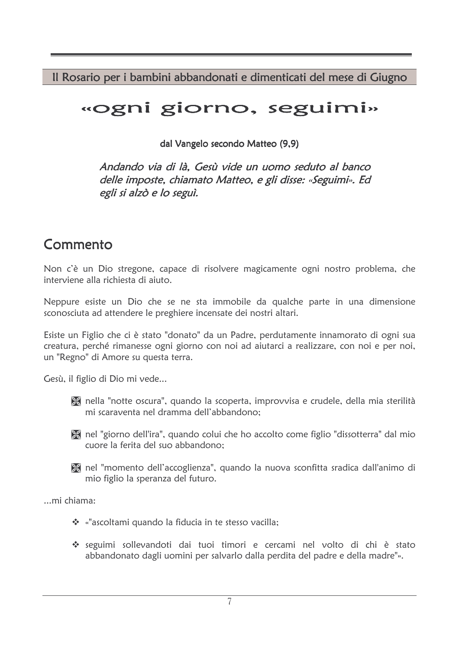Il Rosario per i bambini abbandonati e dimenticati del mese di Giugno

# «ogni giorno, seguimi»

dal Vangelo secondo Matteo (9,9)

Andando via di là, Gesù vide un uomo seduto al banco delle imposte, chiamato Matteo, e gli disse: «Seguimi». Ed egli si alzò e lo seguì.

# Commento

Non c'è un Dio stregone, capace di risolvere magicamente ogni nostro problema, che interviene alla richiesta di ajuto.

Neppure esiste un Dio che se ne sta immobile da qualche parte in una dimensione sconosciuta ad attendere le preghiere incensate dei nostri altari.

Esiste un Figlio che ci è stato "donato" da un Padre, perdutamente innamorato di ogni sua creatura, perché rimanesse ogni giorno con noi ad aiutarci a realizzare, con noi e per noi, un "Regno" di Amore su questa terra.

Gesù, il figlio di Dio mi vede...

- a nella "notte oscura", quando la scoperta, improvvisa e crudele, della mia sterilità mi scaraventa nel dramma dell'abbandono:
- The latter "giorno dell'ira", quando colui che ho accolto come figlio "dissotterra" dal mio cuore la ferita del suo abbandono:
- X nel "momento dell'accoglienza", quando la nuova sconfitta sradica dall'animo di mio figlio la speranza del futuro.

...mi chiama:

- \* «"ascoltami quando la fiducia in te stesso vacilla;
- \* seguimi sollevandoti dai tuoi timori e cercami nel volto di chi è stato abbandonato dagli uomini per salvarlo dalla perdita del padre e della madre"».